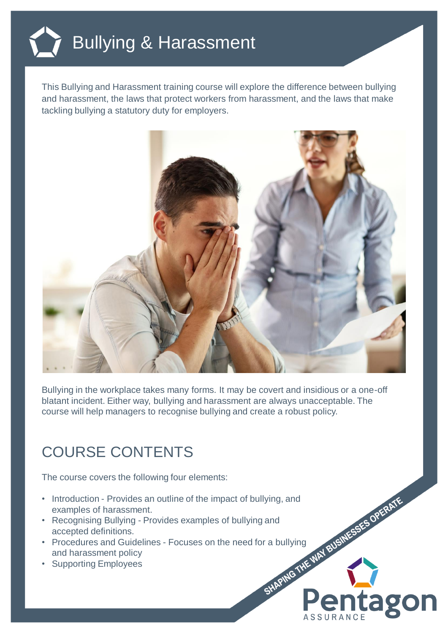This Bullying and Harassment training course will explore the difference between bullying and harassment, the laws that protect workers from harassment, and the laws that make tackling bullying a statutory duty for employers.



Bullying in the workplace takes many forms. It may be covert and insidious or a one-off blatant incident. Either way, bullying and harassment are always unacceptable. The course will help managers to recognise bullying and create a robust policy.

itagor

## COURSE CONTENTS

The course covers the following four elements:

- examples of harassment.
- Recognising Bullying Provides examples of bullying and accepted definitions.
- Introduction Provides an outline of the impact of bullying, and<br>examples of harassment.<br>• Recognising Bullying Provides examples of bullying and<br>accepted definitions.<br>• Procedures and Guidelines Focuses on the need • Procedures and Guidelines - Focuses on the need for a bullying and harassment policy
- Supporting Employees